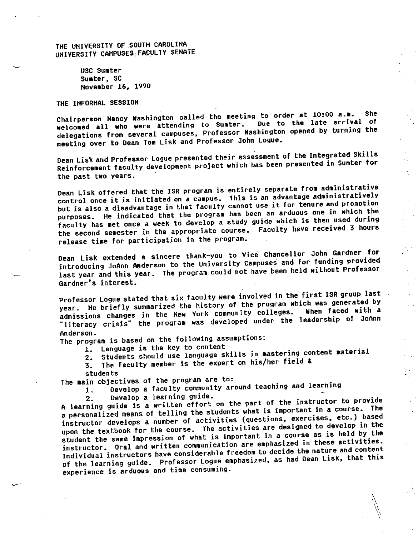THE UNIVERSITY OF SOUTH CAROLINA UNIVERSITY CAMPUSES: FACULTY SENATE

> use Sumter Sumter, SC November 16, 1990

THE INFORMAL SESSION

Chairperson Nancy Washington called the meeting to order at 10:00 **a.m.** She welcomed all who were attending to Sumter. delegations from several campuses, Professor Washington opened by turning the meeting over to Dean Tom Lisk and Professor John Logue.

Dean Lisk and Professor Logue presented their assessment of the Integrated Skills Reinforcement faculty development project which has been presented in Sumter for the past two years.

Dean Lisk offered that the ISR program is entirely separate from administrative control once it is initiated on a campus. This is an advantage administratively but is also a disadvantage in that faculty cannot use it for tenure and promotion purposes. He indicated that the program has been an arduous one in which the faculty has met once a week to develop a study guide which is then used during the second semester in the appropriate course. Faculty have received 3 hours release time for participation in the program.

Dean Lisk extended a sincere thank-you to Vice Chancellor John Gardner for introducing JoAnn Anderson to the University Campuses and for funding provided last year and this year. The program could not have been held without Professor Gardner's interest.

Professor Logue stated that six faculty were involved in the first ISR group last year. He briefly summarized the history of the program which was generated by admissions changes in the New York community colleges. When faced with a "literacy crisis" the program was developed under the leadership of JoAnn Anderson.

The program is based on the following assumptions:

1. Language is the key to content

2. Students should use language skills in mastering content material

 $\frac{1}{2}$  ,  $\frac{1}{2}$  ,  $\frac{1}{2}$ 

3. The faculty member is the expert on his/her field &

students

The main objectives of the program are to:

- 1. Develop a faculty community around teaching and learning
	- 2. Develop a learning guide.

A learning guide is a written effort on the part of the instructor to provide a personalized means of telling the students what is important in **a** course. The instructor develops a number of activities (questions, exercises, etc.) based upon the textbook for the course. The activities are designed to develop in the student the **same** impression of what is important in a course as is held by the instructor. Oral and written communication are emphasized in these activities. Individual instructors have considerable freedom to decide the nature and content of the learning guide. Professor Logue emphasized, as had Oean Lisk, that this experience is arduous and time consuming.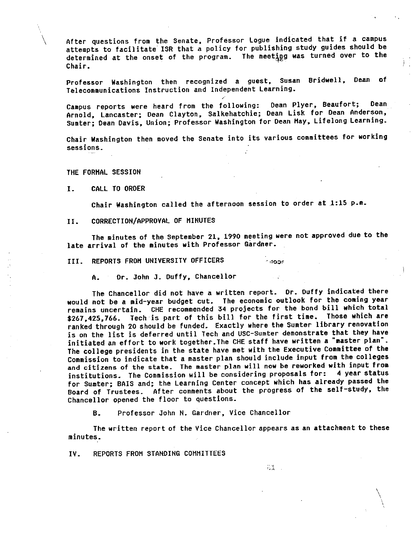After questions from the Senate, Professor Logue indicated that if a campus attempts to facilitate ISR that a policy for publishing study guides should be determined at the onset of the program. The meeting was turned over to the Chair.

Professor Washington then recognized a guest, Susan Bridwell, Dean of Telecommunications Instruction and Independent Learning.

Campus reports were heard from the following: Dean Plyer, Beaufort; Dean Arnold, Lancaster; Dean Clayton, Salkehatchie; Dean Lisk for Dean Anderson, Sumter; Dean Davis, Union; Professor Washington for Dean Hay, Lifelong Learning.

Chair Washington then moved the Senate into its various committees for working sessions.

THE FORHAL SESSION

I. CALL TO ORDER

Chair Washington called the afternoon session to order at 1:15 p.m.

II. CORRECTION/APPROVAL OF MINUTES

The minutes of the September 21, 1990 meeting were not approved due to the **late arrival** of the minutes **with** Professor Gardner.

III. REPORTS FROM UNIVERSITY OFFICERS The strate

A. Or. John J. Duffy, Chancellor

The Chancellor did not have a written report. Dr. Duffy indicated there would not be a mid-year budget cut. The economic outlook for the coming year remains uncertain. CHE recommended 34 projects for the bond bill which total \$267,425,766. Tech is part of this bill for the first time. Those which are ranked through 20 should be funded. Exactly where the Sumter library renovation is on the list is deferred until Tech and USC-Sumter demonstrate that they have initiated an effort to work together.The CHE staff have written a "master plan·. The college presidents in the state have met with the Executive Committee of the Commission to indicate that a master plan should include input from the colleges and citizens of the state. The master plan will now be reworked with input from institutions. The Commission will be considering proposals for: 4 year status for Sumter; BAIS and; the Learning Center concept which has already passed the Board of Trustees. After comments about the progress of the self-study, the Chancellor opened the floor to questions.

B. Professor John N. Gardner, Vice Chancellor

The written report of the Vice Chancellor appears as an attachment to these minutes.

五度 ∴

\  $\setminus$ 

IV. REPORTS FRDH STANDING COHHITTEES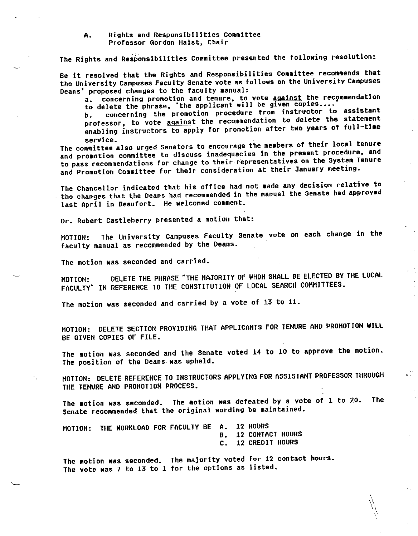### A. Rights and Responsibilities Committee Professor Gordon Haist, Chair

The Rights and Responsibilities Committee presented the following resolution:

Be it resolved that the Rights and Responsibilities Committee recommends that the University Campuses Faculty Senate vote as follows on the University Campuses Deans' proposed changes to the faculty manual:

a. concerning promotion and tenure, to vote against the recommendation to delete the phrase, "the applicant **will** be g1ven copies .•.. •

b. concerning the promotion procedure from instructor to assistant professor, to vote against the recommendation to delete the statement enabling instructors to apply for promotion after **two** years of full-tiae service.

The committee also urged Senators to encourage the members of their local tenure and promotion committee to discuss inadequacies in the present procedure, and to pass recommendations for change to their representatives on the System Tenure and Promotion Committee for their consideration at their January meeting.

The Chancellor indicated that his office had not made any decision relative to the changes that the Deans had recommended in the manual the Senate had approved last April in Beaufort. He welcomed comment.

Dr. Robert Castleberry presented a motion that:

MOTION: The University Campuses Faculty Senate vote on each change in the faculty manual as recommended by the Deans.

The motion was seconded and carried.

MOTION: DELETE THE PHRASE "THE MAJORITY OF WHOM SHALL BE ELECTED BY THE LOCAL FACULTY" IN REFERENCE TO THE CONSTITUTION OF LOCAL SEARCH COMMITTEES.

The motion was seconded and carried by a vote of 13 to 11.

MOTION: DELETE SECTION PROVIDING THAT APPLICANTS FOR TENURE AHO PROMOTION **WILL**  BE GIVEN COPIES OF FILE.

The motion was seconded and the Senate voted 14 to 10 to approve the motion. The position of the Deans was upheld.

MOTION: DELETE REFERENCE TO INSTRUCTORS APPLYING FOR ASSISTANT PROFESSOR THROUGH THE TENURE AND PROMOTION PROCESS.

The motion was seconded. The motion was defeated by a vote of 1 to 20. The Senate recommended that the original wording be maintained.

> \ 1\  $\setminus$  .

 $\mathbf{r}^{(1)}$ 

MOTION: THE WORKLOAD FOR FACULTY BE A. B. 12 CONTACT HOURS C. 12 HOURS 12 CREDIT HOURS

The motion was seconded. The majority voted for 12 contact hours. The vote was 7 to 13 to 1 for the options as listed.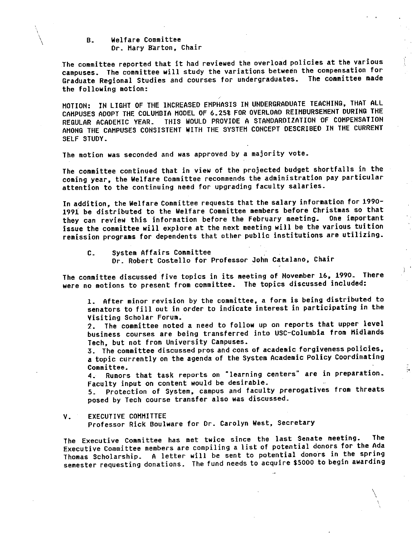# B. Welfare Committee Dr. Mary Barton, Chair

 $\sqrt{2}$ 

The committee reported that it had reviewed the overload policies at the various campuses. The committee **will** study the variations between the compensation for Graduate Regional Studies and courses for undergraduates. The committee made the following motion:

MOTION: IN LIGHT OF THE INCREASED EMPHASIS IN UNDERGRADUATE TEACHING, THAT ALL CAMPUSES ADOPT THE COLUMBIA MODEL OF 6.25% FOR OVERLOAD REIMBURSEMENT DURING THE REGULAR ACADEMIC YEAR. THIS WOULD PROVIDE A STANDARDIZATION OF COMPENSATION AMONG THE CAMPUSES CONSISTENT WITH THE SYSTEM CONCEPT DESCRIBED IN THE CURRENT SELF STUDY.

The motion was seconded and was approved by **a** majority vote.

The committee continued that in view of the projected budget shortfalls in the coming year, the Welfare Committee recommends the administration pay particular attention to the continuing need for upgrading faculty salaries.

In addition, the Welfare Committee requests that the salary information for 1990- 1991 be distributed to the Welfare Committee members before Christmas so that they can review this information before the February meeting. One important issue the committee will explore at the next meeting will be the various tuition remission programs for dependents that other public institutions are utilizing.

C. System Affairs Committee Dr. Robert Costello for Professor John Catalano, Chair

The committee discussed five topics in its meeting of November 16, 1990. There were no motions to present from committee. The topics discussed included:

1. After minor revision by the committee, a form is being distributed to senators to fill out in order to indicate interest in participating in the Visiting Scholar Forum.

2. The committee noted a need to follow up on reports that upper level business courses are being transferred into USC-Columbia from Midlands Tech, but not from University Campuses.

3. The committee discussed pros and cons of academic forgiveness policies, **<sup>a</sup>**topic currently on the agenda of the System Academic Policy Coordinating Committee.

**4.** Rumors that task reports on "learning centers" are in preparation. Faculty input on content would be desirable.

5. Protection of System, campus and faculty prerogatives from threats posed by Tech course transfer also **was** discussed.

V. EXECUTIVE COMMITTEE

Professor Rick Boulware for Or. Carolyn West, Secretary

The Executive Committee has met twice since the last Senate meeting. The Executive Committee members are compiling a list of potential donors for the Ada Thomas Scholarship. A letter will be sent to potential donors in the spring semester requesting donations. The fund needs to acquire \$5000 to begin **awarding** 

> \ I '.

ç.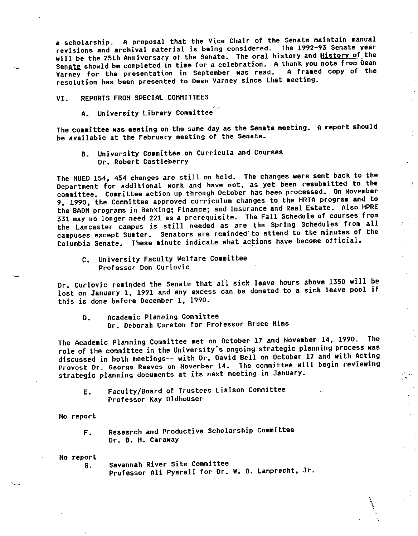**a** scholarship. A proposal that the Vice Chair of the Senate maintain manual revisions and archival material is being considered. The 1992-93 Senate year **will** be the 25th Anniversary of the Senate. The oral history and History of the Senate should be completed in time for a celebration. A thank you note from Dean<br>Varney, for the presentation in September was read. A framed copy of the  $\overline{Varney}$  for the presentation in September was read. resolution has been presented to Dean Varney since that meeting.

# VI. REPORTS FROH SPECIAL COHHITTEES

A. University Library Committee

The committee was meeting on the same day as the Senate meeting. A report should be available at the February meeting of the senate.

B. University Committee on Curricula and Courses Or. Robert Castleberry

The HUED 154, 454 changes are still on hold. The changes were sent back to the Department for additional work and have not, as yet been resubmitted to the committee. Committee action up through October has been processed. On November 9, 1990, the Committee approved curriculum changes to the HRTA program and to the BADH programs in Banking; Finance; and Insurance and Real Estate. Also HPRE 331 may no longer need 221 as a prerequisite. The Fall Schedule of courses from the Lancaster campus is still needed as are the Spring Schedules from all campuses except Sumter. Senators are reminded to attend to the minutes of the Columbia Senate. These minute indicate what actions have become official.

C. University Faculty Welfare Committee Professor Don Curlovic

Dr. Curlovic reminded the Senate that all sick leave hours above 1350 will be lost on January 1, 1991 and any excess can be donated to a sick leave pool if this is done before December 1, 1990.

D. Academic Planning Committee Dr. Deborah Cureton for Professor Bruce Nims

The Academic Planning Committee met on October 17 and November 14, 1990. The role of the committee in the University"s ongoing strategic planning process **was**  discussed in both meetings-- with Or. David Bell on October 17 and with Acting Provost Dr. George Reeves on November 14. The committee will begin reviewing strategic planning documents at its next meeting in January.

E. Faculty/Board of Trustees Liaison Committee Professor Kay Oldhouser

No repor<sup>t</sup>

F. Research and Productive Scholarship Committee Dr. B. H. **Caraway** 

No repor<sup>t</sup>

G.

Savannah River Site Committee Professor Ali Pyarali for Or. **W.** 0. Lamprecht, Jr.

> I  $\int$

 $\frac{1}{2}$ 

 $\bar{z}$ 

an<br>akir

 $\ddot{\phantom{a}}$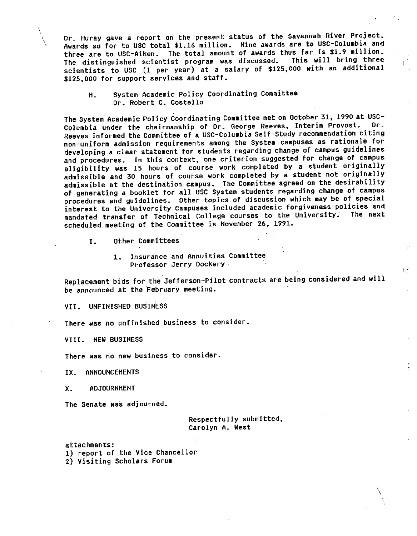\ Dr. Huray gave a report on the present status of the Savannah River Project. Awards so for to use total \$1.16 million. Nine awards are to USC-Columbia and three are to USC-Aiken. The total amount of awards thus far is \$1.9 million. The distinguished scientist program was discussed. This **will** bring three scientists to USC (1 per year) at a salary of \$125,000 with an additional \$125,000 for support services and staff.

> H. System Academic Policy Coordinating Committee Dr. Robert C. Costello

The System Academic Policy Coordinating Committee met on October 31, 1990 at USC-<br>Columbia undan the chairmapship of Dr. George Reeves, Interim Provost. Dr. Columbia under the chairmanship of Dr. George Reeves, Interim Provost. Reeves informed the Committee of a USC-Columbia Self-Study recommendation citing non-uniform admission requirements among the System campuses as rationale for developing a clear statement for students regarding change of campus guidelines and procedures. In this context, one criterion suggested for change of campus eligibility was 15 hours of course work completed by a student originally admissible and 30 hours of course work completed by a student not originally admissible at the destination campus. The Committee agreed on the desirability of generating a booklet for all USC System students regarding change of campus procedures and guidelines. Other topics of discussion which may be of special interest to the University Campuses included academic forgiveness policies and mandated transfer of Technical College courses to the University. The next scheduled meeting of the Committee is November 26, 1991.

I. Other Committees

1. Insurance and Annuities Committee Professor Jerry Dockery .

Replacement bids for the Jefferson-Pilot contracts are being considered and **will**  be announced at the February meeting.

VII. UNFINISHED BUSINESS

There was no unfinished business to consider.

VIII. NEW BUSINESS

There was no new business to consider.

IX. ANNOUNCEMENTS

X. ADJOURNMENT

The Senate was adjourned.

Respectfully submitted, Carolyn A. West

> \ \

 $\mathcal{F}$ 

attachments:

1) report of the Vice Chancellor

2) Visiting Scholars Forum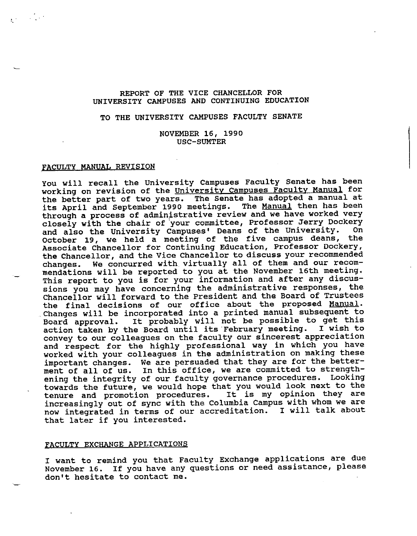# REPORT OF THE VICE CHANCELLOR FOR UNIVERSITY CAMPUSES AND CONTINUING EDUCATION

# TO THE UNIVERSITY CAMPUSES FACULTY SENATE

NOVEMBER 16, 1990 USC-SUMTER

### FACULTY MANUAL REVISION

 $\label{eq:2.1} \frac{1}{\sqrt{2}}\int_{\mathbb{R}^3}\left|\frac{d\mathbf{x}}{d\mathbf{x}}\right|^2\,d\mathbf{x}^2\,d\mathbf{x}^2\,d\mathbf{x}^2\,d\mathbf{x}^2\,d\mathbf{x}^2\,d\mathbf{x}^2\,d\mathbf{x}^2\,d\mathbf{x}^2\,d\mathbf{x}^2\,d\mathbf{x}^2\,d\mathbf{x}^2\,d\mathbf{x}^2\,d\mathbf{x}^2\,d\mathbf{x}^2\,d\mathbf{x}^2\,d\mathbf{x}^2\,d\mathbf{x}$ 

You will recall the University Campuses Faculty Senate has been working on revision of the University Campuses Faculty Manual for the better part of two years. The Senate has adopted a manual at its April and September 1990 meetings. The Manual then has been through a process of administrative review and we have worked very closely with the chair of your committee, Professor Jerry Dockery<br>and also the University Campuses' Deans of the University. On and also the University Campuses' Deans of the University. October 19, we held a meeting of the five campus deans, the Associate Chancellor for Continuing Education, Professor Dockery, the Chancellor, and the Vice Chancellor to discuss your recommended changes. We concurred with virtually all of them and our recommendations will be reported to you at the November 16th meeting. This report to you is for your information and after any discussions you may have concerning the administrative responses, the Chancellor will forward to the President and the Board of Trustees the final decisions of our office about the proposed Manual. Changes will be incorporated into a printed manual subsequent to Board approval. It probably will not be possible to get this<br>action taken by the Board until its February meeting. I wish to action taken by the Board until its February meeting. convey to our colleagues on the faculty our sincerest appreciation and respect for the highly professional way in which you have worked with your colleagues in the administration on making these important changes. We are persuaded that they are for the betterment of all of us. In this office, we are committed to strengthening the integrity of our faculty governance procedures. Looking towards the future, we would hope that you would look next to the towards the future, we would hope that you would flock heat to the<br>tenure and promotion procedures. It is my opinion they are tenure and promotion procedures. It is my opinion they are<br>increasingly out of sync with the Columbia Campus with whom we are now integrated in terms of our accreditation. I will talk about that later if you interested.

## FACULTY EXCHANGE APPLICATIONS

I want to remind you that Faculty Exchange applications are due November 16. If you have any questions or need assistance, please don't hesitate to contact me.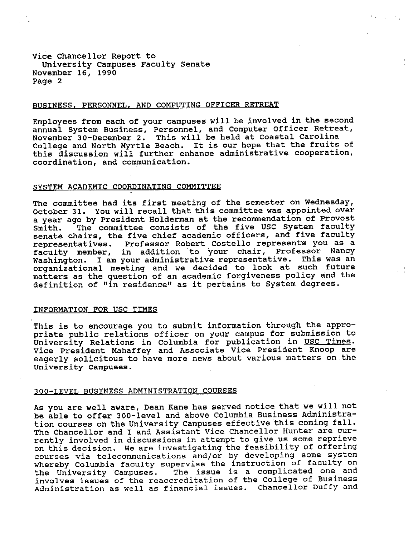Vice Chancellor Report to University Campuses Faculty Senate November 16, 1990 Page 2

## BUSINESS. PERSONNEL. AND COMPUTING OFFICER RETREAT

Employees from each of your campuses will be involved in the second annual System Business, Personnel, and Computer Officer Retreat, November JO-December 2. This will be held at Coastal Carolina College and North Myrtle Beach. It is our hope that the fruits of this discussion will further enhance administrative cooperation, coordination, and communication.

### SYSTEM ACADEMIC COORDINATING COMMITTEE

The committee had its first meeting of the semester on Wednesday, October 31. You will recall that this committee was appointed over a year ago by President Holderman at the recommendation of Provost Smith. The committee consists of the five USC System faculty senate chairs, the five chief academic officers, and five faculty representatives. Professor Robert Costello represents you as a faculty member, in addition to your chair, Professor Nancy Washington. I am your administrative representative. This was an organizational meeting and we decided to look at such future matters as the question of an academic forgiveness policy and the definition of "in residence" as it pertains to System degrees.

#### INFORMATION FOR USC TIMES

This is to encourage you to submit information through the appropriate public relations officer on your campus for submission to University Relations in Columbia for publication in USC Times. Vice President Mahaffey and Associate Vice President Knoop are eagerly solicitous to have more news about various matters on the University Campuses.

# 300-LEVEL BUSINESS ADMINISTRATION COURSES

As you are well aware, Dean Kane has served notice that we will not be able to offer JOO-level and above Columbia Business Administration courses on the University campuses effective this coming fall. The Chancellor and I and Assistant Vice Chancellor Hunter are currently involved in discussions in attempt to give us some reprieve on this decision. We are investigating the feasibility of offering courses via telecommunications and/or by developing some system whereby Columbia faculty supervise the instruction of faculty on the University campuses. The issue is a complicated one and involves issues of the reaccreditation of the College of Business Administration as well as financial issues. Chancellor Duffy and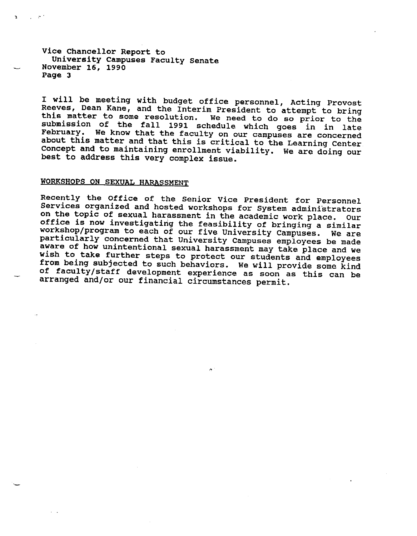Vice Chancellor Report to University Campuses Faculty senate November 16, <sup>1990</sup> Page 3

I will be meeting with budget office personnel, Acting Provost<br>Reeves, Dean Kane, and the Interim President to attempt to bring this matter to some resolution. We need to do so prior to the submission of the fall 1991 schedule which goes in in late February. We know that the faculty on our campuses are concerned about this matter and that this is c Concept and to maintaining enrollment viability. We are doing our best to address this very complex issue.

# WORKSHOPS ON SEXUAL HARASSMENT

Recently the Office of the senior Vice President for Personnel Services organized and hosted workshops for System administrators<br>on the topic of sexual harassment in the academic work place. Our<br>office is now investigating the feasibility of bringing a similar workshop/program to each of our five University Campuses. We are particularly concerned that University Campuses employees be made aware of how unintentional sexual harassment may take place and we wish to take further steps to protect our students and employees from being subjected to such behaviors. We will provide some kind of faculty/staff development experience as soon as this can be arranged and/or our financial circumstances permit.

•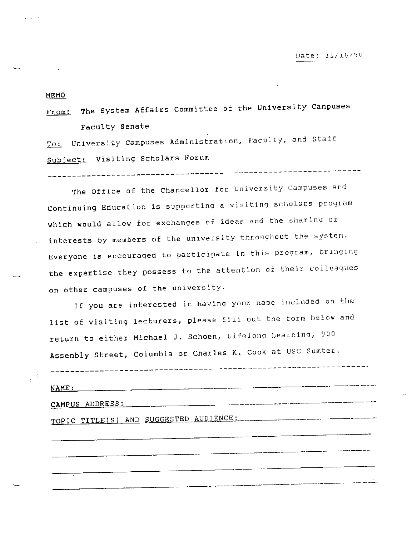## **Lia t e** : l **l** / J.t, / ➔ **<sup>u</sup>**

MEMO

From: The System Affairs Committee of the University Campuses Faculty Senate

 $To:$  University Campuses Administration, Faculty, and Staff</u> Subject: Visiting Scholars Forum

# --------------------------------------------- -------------------

The Office of the Chancellor for University Campuses and Continuing Education is supporting a visicing scholars program which would allow for exchanges of ideas and the sharing ot  $\ldots$  interests by members of the university throughout the system. Everyone is encouraged to participate in this program, bringing the expertise they possess to the attention of their colleagues on other campuses of the university.

If you are interested in having your name included on the list of visiting lecturers, please fill out the form below and return to either Michael J. Schoen, Lifelong Learning, 900 Assembly Street, Columbia or Charles K. Cook at USC Sumter.

-----------------------------------------------------------------

--------------------------- ------·------------- -----·-

**NAME:** 

 $\mathcal{N}$  $\mathcal{L}^{\mathcal{L}}$ 

CAMPUS ADDRESS:

TOPIC TITLE(S) AND SUGGESTED AUDIENCE: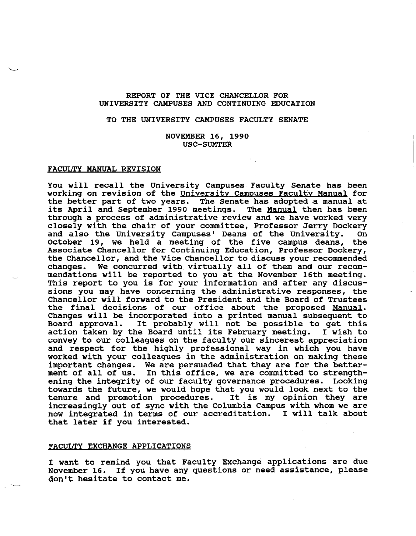## REPORT OF THE VICE CHANCELLOR FOR UNIVERSITY CAMPUSES AND CONTINUING EDUCATION

## TO THE UNIVERSITY CAMPUSES FACULTY SENATE

## NOVEMBER 16, 1990 USC-SUMTER

## FACULTY MANUAL REVISION

You will recall the University Campuses Faculty Senate has been working on revision of the University Campuses Faculty Manual for the better part of two years. The Senate has adopted a manual at its April and September 1990 meetings. The Manual then has been its April and September 1990 meetings. through a process of administrative review and we have worked very closely with the chair of your committee, Professor Jerry Dockery and also the University Campuses' Deans of the University. On October 19, we held a meeting of the five campus deans, the Associate Chancellor for Continuing Education, Professor Dockery, the Chancellor, and the Vice Chancellor to discuss your recommended changes. We concurred with. virtually all of them and our recommendations will be reported to you at the November 16th meeting. This report to you is for your information and after any discussions you may have concerning the administrative responses, the Chancellor will forward to the President and the Board of Trustees the final decisions of our office about the proposed Manual. Changes will be incorporated into a printed manual subsequent to Board approval. It probably will not be possible to get this action taken by the Board until its February meeting. I wish to convey to our colleagues on the faculty our sincerest appreciation and respect for the highly professional way in which you have worked with your colleagues in the administration on making these important changes. We are persuaded that they are for the betterment of all of us. In this office, we are committed to strengthening the integrity of our faculty governance procedures. Looking towards the future, we would hope that you would look next to the tenure and promotion procedures. It is my opinion they are tenure and promotion procedures. It is my opinion they are increasingly out of sync with the Columbia Campus with whom we are now integrated in terms of our accreditation. I will talk about that later if you interested.

## FACULTY EXCHANGE APPLICATIONS

I want to remind you that Faculty Exchange applications are due November 16. If you have any questions or need assistance, please don't hesitate to contact me.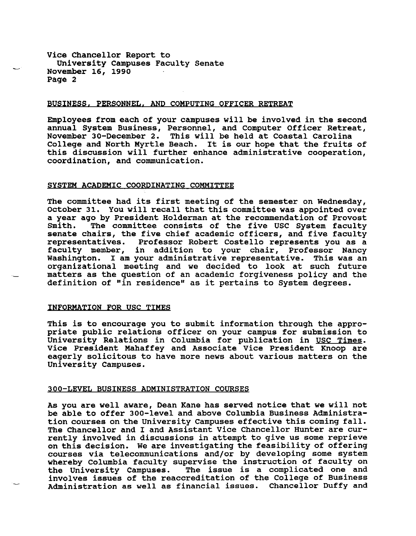Vice Chancellor Report to University Campuses Faculty Senate November 16, 1990 Page 2

## BUSINESS. PERSONNEL. AND COMPUTING OFFICER RETREAT

Employees from each of your campuses will be involved in the second annual System Business, Personnel, and Computer Officer Retreat, November 30-December 2. This will be held at Coastal Carolina College and North Myrtle Beach. It is our hope that the fruits of this discussion will further enhance administrative cooperation, coordination, and communication.

### SYSTEM ACADEMIC COORDINATING COMMITTEE

The committee had its first meeting of the semester on Wednesday, October 31. You will recall that this committee was appointed over a year ago by President Holderman at the recommendation of Provost<br>Smith. The committee consists of the five USC Svstem faculty The committee consists of the five USC System faculty senate chairs, the five chief academic officers, and five faculty representatives. Professor Robert Costello represents you as a faculty member, in addition to your chair, Professor Nancy Washington. I am your administrative representative. This was an organizational meeting and we decided to look at such future matters as the question of an academic forgiveness policy and the definition of "in residence" as it pertains to system degrees.

### INFORMATION FOR use TIMES

This is to encourage you to submit information through the appropriate public relations officer on your campus for submission to University Relations in Columbia for publication in USC Times. Vice President Mahaffey and Associate Vice President Knoop are eagerly solicitous to have more news about various matters on the University Campuses.

### 300-LEVEL BUSINESS ADMINISTRATION COURSES

As you are well aware, Dean Kane has served notice that we will not be able to offer 300-level and above Columbia Business Administration courses on the University Campuses effective this coming fall. The Chancellor and I and Assistant Vice Chancellor Hunter are currently involved in discussions in attempt to give us some reprieve on this decision. We are investigating the feasibility of offering<br>courses via telecommunications and/or by developing some system whereby Columbia faculty supervise the instruction of faculty on the University Campuses. The issue is a complicated one and involves issues of the reaccreditation of the College of Business Administration as well as financial issues. Chancellor Duffy and